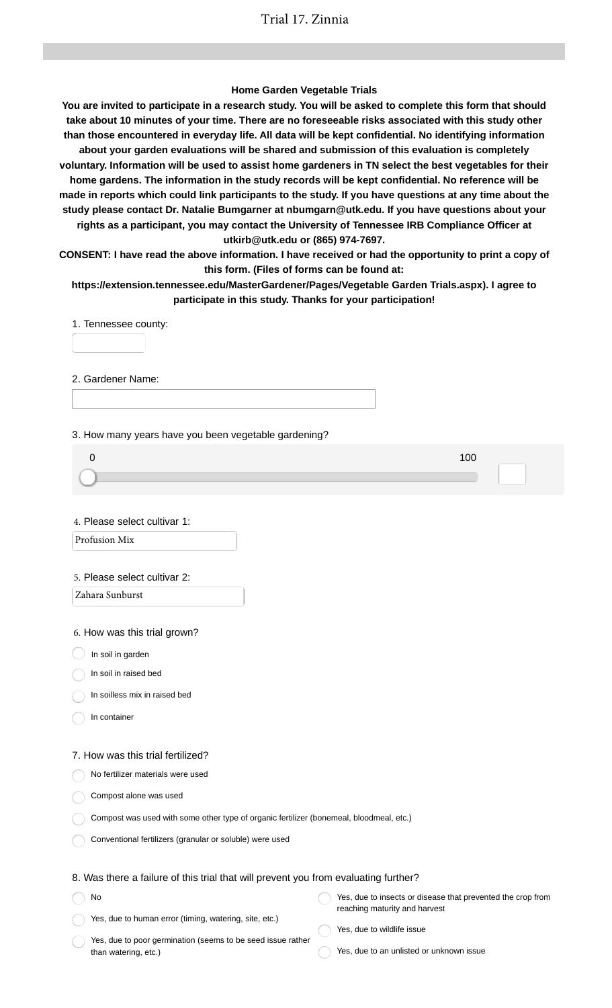### **Home Garden Vegetable Trials**

**You are invited to participate in a research study. You will be asked to complete this form that should take about 10 minutes of your time. There are no foreseeable risks associated with this study other than those encountered in everyday life. All data will be kept confidential. No identifying information about your garden evaluations will be shared and submission of this evaluation is completely voluntary. Information will be used to assist home gardeners in TN select the best vegetables for their home gardens. The information in the study records will be kept confidential. No reference will be made in reports which could link participants to the study. If you have questions at any time about the study please contact Dr. Natalie Bumgarner at nbumgarn@utk.edu. If you have questions about your rights as a participant, you may contact the University of Tennessee IRB Compliance Officer at utkirb@utk.edu or (865) 974-7697.**

**CONSENT: I have read the above information. I have received or had the opportunity to print a copy of this form. (Files of forms can be found at:**

**https://extension.tennessee.edu/MasterGardener/Pages/Vegetable Garden Trials.aspx). I agree to participate in this study. Thanks for your participation!**

1. Tennessee county:

2. Gardener Name:

3. How many years have you been vegetable gardening?

4. Please select cultivar 1:

Profusion Mix

#### 5. Please select cultivar 2:

Zahara Sunburst

6. How was this trial grown?

 $\big)$  In soil in garden

In soil in raised bed

In soilless mix in raised bed

In container

#### 7. How was this trial fertilized?

No fertilizer materials were used

Compost alone was used

| Compost was used with some other type of organic fertilizer (bonemeal, bloodmeal, etc.) |  |  |
|-----------------------------------------------------------------------------------------|--|--|
|                                                                                         |  |  |

Conventional fertilizers (granular or soluble) were used

### 8. Was there a failure of this trial that will prevent you from evaluating further?

No Yes, due to human error (timing, watering, site, etc.) Yes, due to insects or disease that prevented the crop from reaching maturity and harvest

Yes, due to poor germination (seems to be seed issue rather than watering, etc.)

Yes, due to wildlife issue

Yes, due to an unlisted or unknown issue